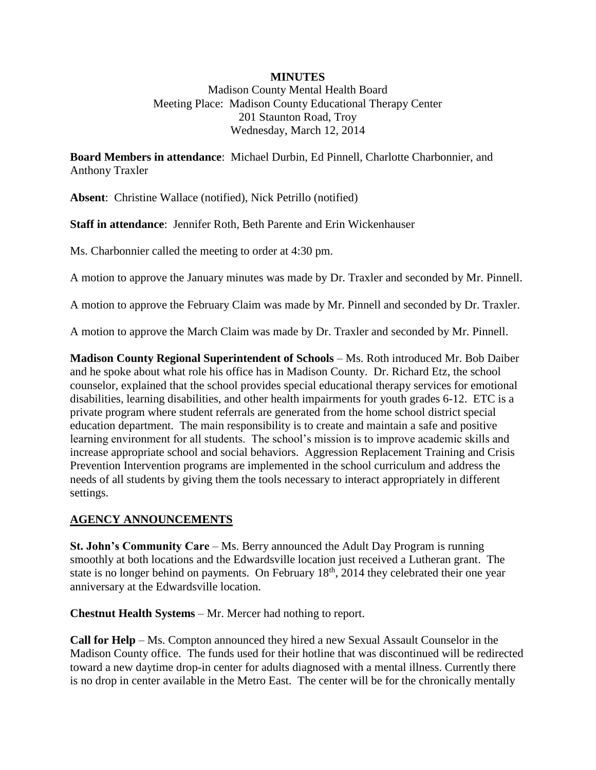## **MINUTES**

Madison County Mental Health Board Meeting Place: Madison County Educational Therapy Center 201 Staunton Road, Troy Wednesday, March 12, 2014

**Board Members in attendance**: Michael Durbin, Ed Pinnell, Charlotte Charbonnier, and Anthony Traxler

**Absent**: Christine Wallace (notified), Nick Petrillo (notified)

**Staff in attendance**: Jennifer Roth, Beth Parente and Erin Wickenhauser

Ms. Charbonnier called the meeting to order at 4:30 pm.

A motion to approve the January minutes was made by Dr. Traxler and seconded by Mr. Pinnell.

A motion to approve the February Claim was made by Mr. Pinnell and seconded by Dr. Traxler.

A motion to approve the March Claim was made by Dr. Traxler and seconded by Mr. Pinnell.

**Madison County Regional Superintendent of Schools** – Ms. Roth introduced Mr. Bob Daiber and he spoke about what role his office has in Madison County. Dr. Richard Etz, the school counselor, explained that the school provides special educational therapy services for emotional disabilities, learning disabilities, and other health impairments for youth grades 6-12. ETC is a private program where student referrals are generated from the home school district special education department. The main responsibility is to create and maintain a safe and positive learning environment for all students. The school's mission is to improve academic skills and increase appropriate school and social behaviors. Aggression Replacement Training and Crisis Prevention Intervention programs are implemented in the school curriculum and address the needs of all students by giving them the tools necessary to interact appropriately in different settings.

## **AGENCY ANNOUNCEMENTS**

**St. John's Community Care** – Ms. Berry announced the Adult Day Program is running smoothly at both locations and the Edwardsville location just received a Lutheran grant. The state is no longer behind on payments. On February  $18<sup>th</sup>$ , 2014 they celebrated their one year anniversary at the Edwardsville location.

**Chestnut Health Systems** – Mr. Mercer had nothing to report.

**Call for Help** – Ms. Compton announced they hired a new Sexual Assault Counselor in the Madison County office. The funds used for their hotline that was discontinued will be redirected toward a new daytime drop-in center for adults diagnosed with a mental illness. Currently there is no drop in center available in the Metro East. The center will be for the chronically mentally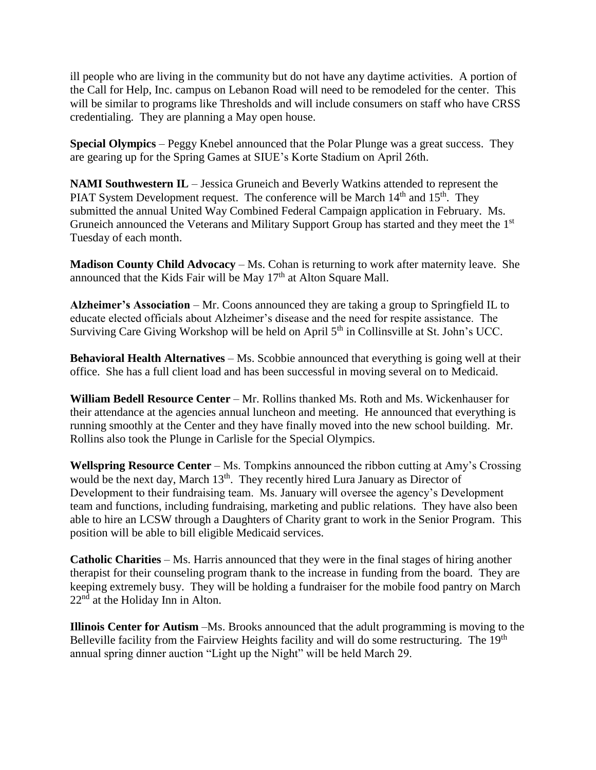ill people who are living in the community but do not have any daytime activities. A portion of the Call for Help, Inc. campus on Lebanon Road will need to be remodeled for the center. This will be similar to programs like Thresholds and will include consumers on staff who have CRSS credentialing. They are planning a May open house.

**Special Olympics** – Peggy Knebel announced that the Polar Plunge was a great success. They are gearing up for the Spring Games at SIUE's Korte Stadium on April 26th.

**NAMI Southwestern IL** – Jessica Gruneich and Beverly Watkins attended to represent the PIAT System Development request. The conference will be March  $14<sup>th</sup>$  and  $15<sup>th</sup>$ . They submitted the annual United Way Combined Federal Campaign application in February. Ms. Gruneich announced the Veterans and Military Support Group has started and they meet the 1<sup>st</sup> Tuesday of each month.

**Madison County Child Advocacy** – Ms. Cohan is returning to work after maternity leave. She announced that the Kids Fair will be May  $17<sup>th</sup>$  at Alton Square Mall.

**Alzheimer's Association** – Mr. Coons announced they are taking a group to Springfield IL to educate elected officials about Alzheimer's disease and the need for respite assistance. The Surviving Care Giving Workshop will be held on April 5<sup>th</sup> in Collinsville at St. John's UCC.

**Behavioral Health Alternatives** – Ms. Scobbie announced that everything is going well at their office. She has a full client load and has been successful in moving several on to Medicaid.

**William Bedell Resource Center** – Mr. Rollins thanked Ms. Roth and Ms. Wickenhauser for their attendance at the agencies annual luncheon and meeting. He announced that everything is running smoothly at the Center and they have finally moved into the new school building. Mr. Rollins also took the Plunge in Carlisle for the Special Olympics.

**Wellspring Resource Center** – Ms. Tompkins announced the ribbon cutting at Amy's Crossing would be the next day, March 13<sup>th</sup>. They recently hired Lura January as Director of Development to their fundraising team. Ms. January will oversee the agency's Development team and functions, including fundraising, marketing and public relations. They have also been able to hire an LCSW through a Daughters of Charity grant to work in the Senior Program. This position will be able to bill eligible Medicaid services.

**Catholic Charities** – Ms. Harris announced that they were in the final stages of hiring another therapist for their counseling program thank to the increase in funding from the board. They are keeping extremely busy. They will be holding a fundraiser for the mobile food pantry on March 22<sup>nd</sup> at the Holiday Inn in Alton.

**Illinois Center for Autism** –Ms. Brooks announced that the adult programming is moving to the Belleville facility from the Fairview Heights facility and will do some restructuring. The 19<sup>th</sup> annual spring dinner auction "Light up the Night" will be held March 29.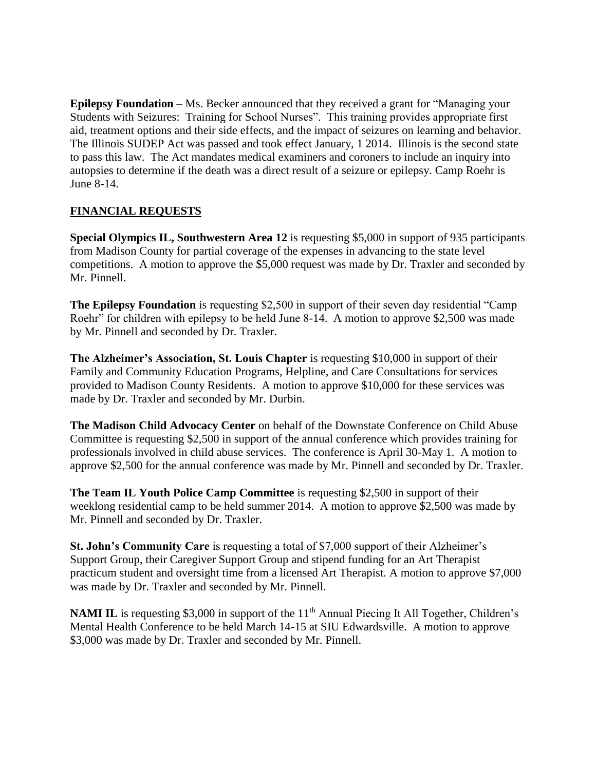**Epilepsy Foundation** – Ms. Becker announced that they received a grant for "Managing your Students with Seizures: Training for School Nurses". This training provides appropriate first aid, treatment options and their side effects, and the impact of seizures on learning and behavior. The Illinois SUDEP Act was passed and took effect January, 1 2014. Illinois is the second state to pass this law. The Act mandates medical examiners and coroners to include an inquiry into autopsies to determine if the death was a direct result of a seizure or epilepsy. Camp Roehr is June 8-14.

## **FINANCIAL REQUESTS**

**Special Olympics IL, Southwestern Area 12** is requesting \$5,000 in support of 935 participants from Madison County for partial coverage of the expenses in advancing to the state level competitions. A motion to approve the \$5,000 request was made by Dr. Traxler and seconded by Mr. Pinnell.

**The Epilepsy Foundation** is requesting \$2,500 in support of their seven day residential "Camp" Roehr" for children with epilepsy to be held June 8-14. A motion to approve \$2,500 was made by Mr. Pinnell and seconded by Dr. Traxler.

**The Alzheimer's Association, St. Louis Chapter** is requesting \$10,000 in support of their Family and Community Education Programs, Helpline, and Care Consultations for services provided to Madison County Residents. A motion to approve \$10,000 for these services was made by Dr. Traxler and seconded by Mr. Durbin.

**The Madison Child Advocacy Center** on behalf of the Downstate Conference on Child Abuse Committee is requesting \$2,500 in support of the annual conference which provides training for professionals involved in child abuse services. The conference is April 30-May 1. A motion to approve \$2,500 for the annual conference was made by Mr. Pinnell and seconded by Dr. Traxler.

**The Team IL Youth Police Camp Committee** is requesting \$2,500 in support of their weeklong residential camp to be held summer 2014. A motion to approve \$2,500 was made by Mr. Pinnell and seconded by Dr. Traxler.

**St. John's Community Care** is requesting a total of \$7,000 support of their Alzheimer's Support Group, their Caregiver Support Group and stipend funding for an Art Therapist practicum student and oversight time from a licensed Art Therapist. A motion to approve \$7,000 was made by Dr. Traxler and seconded by Mr. Pinnell.

**NAMI IL** is requesting \$3,000 in support of the 11<sup>th</sup> Annual Piecing It All Together, Children's Mental Health Conference to be held March 14-15 at SIU Edwardsville. A motion to approve \$3,000 was made by Dr. Traxler and seconded by Mr. Pinnell.